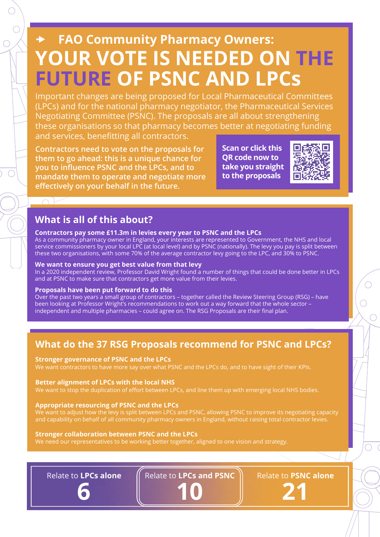## **FAO Community Pharmacy Owners: YOUR VOTE IS NEEDED ON THE FUTURE OF PSNC AND LPCs**

Important changes are being proposed for Local Pharmaceutical Committees (LPCs) and for the national pharmacy negotiator, the Pharmaceutical Services Negotiating Committee (PSNC). The proposals are all about strengthening these organisations so that pharmacy becomes better at negotiating funding and services, benefitting all contractors.

**Contractors need to vote on the proposals for them to go ahead: this is a unique chance for you to influence PSNC and the LPCs, and to mandate them to operate and negotiate more effectively on your behalf in the future.**

**Scan or click this QR code now to take you straight to the proposals**



### **What is all of this about?**

### **Contractors pay some £11.3m in levies every year to PSNC and the LPCs**

As a community pharmacy owner in England, your interests are represented to Government, the NHS and local service commissioners by your local LPC (at local level) and by PSNC (nationally). The levy you pay is split between these two organisations, with some 70% of the average contractor levy going to the LPC, and 30% to PSNC.

### **We want to ensure you get best value from that levy**

In a 2020 independent review, Professor David Wright found a number of things that could be done better in LPCs and at PSNC to make sure that contractors get more value from their levies.

### **Proposals have been put forward to do this**

Over the past two years a small group of contractors – together called the Review Steering Group (RSG) – have been looking at Professor Wright's recommendations to work out a way forward that the whole sector – independent and multiple pharmacies – could agree on. The RSG Proposals are their final plan.

## **What do the 37 RSG Proposals recommend for PSNC and LPCs?**

### **Stronger governance of PSNC and the LPCs**

We want contractors to have more say over what PSNC and the LPCs do, and to have sight of their KPIs.

### **Better alignment of LPCs with the local NHS**

We want to stop the duplication of effort between LPCs, and line them up with emerging local NHS bodies.

### **Appropriate resourcing of PSNC and the LPCs**

We want to adjust how the levy is split between LPCs and PSNC, allowing PSNC to improve its negotiating capacity and capability on behalf of all community pharmacy owners in England, without raising total contractor levies.

### **Stronger collaboration between PSNC and the LPCs**

We need our representatives to be working better together, aligned to one vision and strategy.

Relate to **LPCs alone**

**6**

Relate to **LPCs and PSNC**

**10**

Relate to **PSNC alone 21**